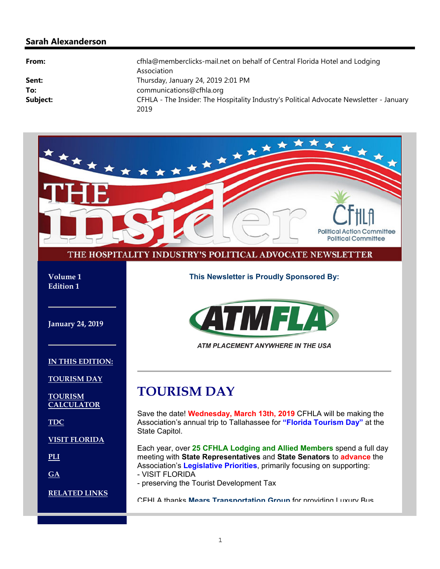#### **Sarah Alexanderson**

| From:    | cfhla@memberclicks-mail.net on behalf of Central Florida Hotel and Lodging<br>Association       |
|----------|-------------------------------------------------------------------------------------------------|
| Sent:    | Thursday, January 24, 2019 2:01 PM                                                              |
| To:      | communications@cfhla.org                                                                        |
| Subject: | CFHLA - The Insider: The Hospitality Industry's Political Advocate Newsletter - January<br>2019 |

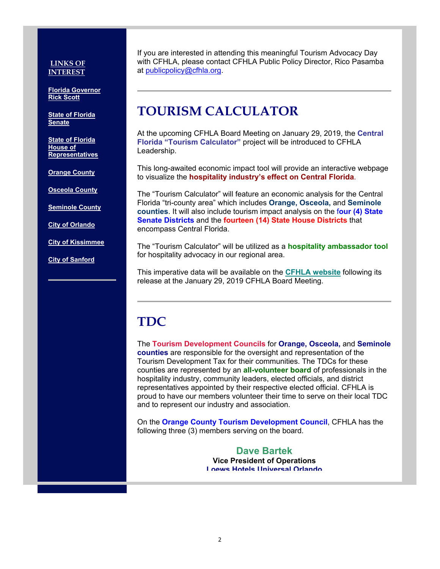#### **LINKS OF INTEREST**

**Florida Governor Rick Scott**

**State of Florida Senate**

**State of Florida House of Representatives**

**Orange County**

**Osceola County**

**Seminole County**

**City of Orlando**

**City of Kissimmee**

**City of Sanford**

If you are interested in attending this meaningful Tourism Advocacy Day with CFHLA, please contact CFHLA Public Policy Director, Rico Pasamba at publicpolicy@cfhla.org.

### **TOURISM CALCULATOR**

At the upcoming CFHLA Board Meeting on January 29, 2019, the **Central Florida "Tourism Calculator"** project will be introduced to CFHLA Leadership.

This long-awaited economic impact tool will provide an interactive webpage to visualize the **hospitality industry's effect on Central Florida**.

The "Tourism Calculator" will feature an economic analysis for the Central Florida "tri-county area" which includes **Orange, Osceola,** and **Seminole counties**. It will also include tourism impact analysis on the f**our (4) State Senate Districts** and the **fourteen (14) State House Districts** that encompass Central Florida.

The "Tourism Calculator" will be utilized as a **hospitality ambassador tool** for hospitality advocacy in our regional area.

This imperative data will be available on the **CFHLA website** following its release at the January 29, 2019 CFHLA Board Meeting.

# **TDC**

The **Tourism Development Councils** for **Orange, Osceola,** and **Seminole counties** are responsible for the oversight and representation of the Tourism Development Tax for their communities. The TDCs for these counties are represented by an **all-volunteer board** of professionals in the hospitality industry, community leaders, elected officials, and district representatives appointed by their respective elected official. CFHLA is proud to have our members volunteer their time to serve on their local TDC and to represent our industry and association.

On the **Orange County Tourism Development Council**, CFHLA has the following three (3) members serving on the board.

> **Dave Bartek Vice President of Operations Loews Hotels Universal Orlando**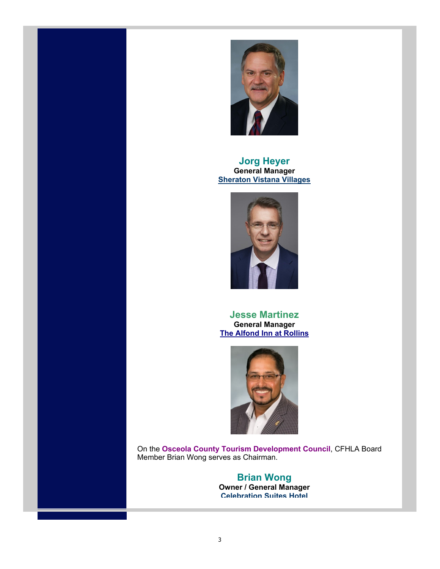

**Jorg Heyer General Manager Sheraton Vistana Villages**



**Jesse Martinez General Manager The Alfond Inn at Rollins**



On the **Osceola County Tourism Development Council**, CFHLA Board Member Brian Wong serves as Chairman.

#### **Brian Wong Owner / General Manager**

**Celebration Suites Hotel**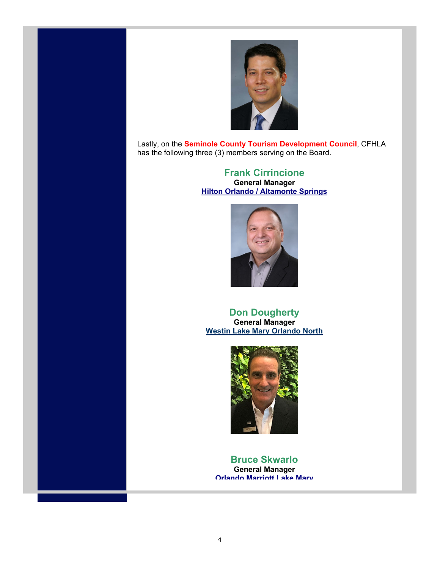

Lastly, on the **Seminole County Tourism Development Council**, CFHLA has the following three (3) members serving on the Board.

> **Frank Cirrincione General Manager Hilton Orlando / Altamonte Springs**



#### **Don Dougherty General Manager Westin Lake Mary Orlando North**



**Bruce Skwarlo General Manager Orlando Marriott Lake Mary**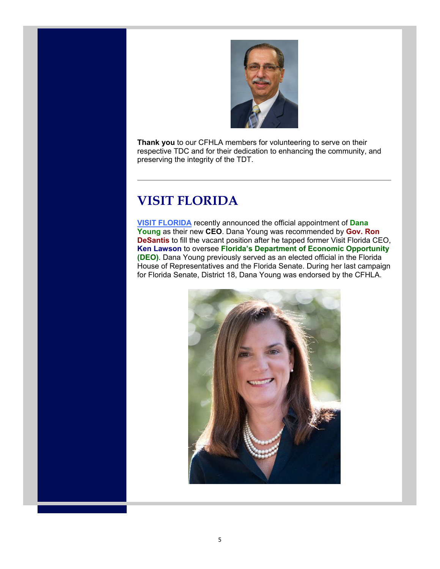

**Thank you** to our CFHLA members for volunteering to serve on their respective TDC and for their dedication to enhancing the community, and preserving the integrity of the TDT.

### **VISIT FLORIDA**

**VISIT FLORIDA** recently announced the official appointment of **Dana Young** as their new **CEO**. Dana Young was recommended by **Gov. Ron DeSantis** to fill the vacant position after he tapped former Visit Florida CEO, **Ken Lawson** to oversee **Florida's Department of Economic Opportunity (DEO)**. Dana Young previously served as an elected official in the Florida House of Representatives and the Florida Senate. During her last campaign for Florida Senate, District 18, Dana Young was endorsed by the CFHLA.

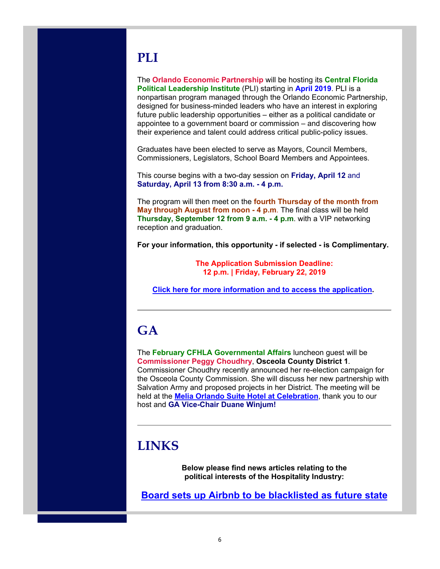# **PLI**

The **Orlando Economic Partnership** will be hosting its **Central Florida Political Leadership Institute** (PLI) starting in **April 2019**. PLI is a nonpartisan program managed through the Orlando Economic Partnership, designed for business-minded leaders who have an interest in exploring future public leadership opportunities – either as a political candidate or appointee to a government board or commission – and discovering how their experience and talent could address critical public-policy issues.

Graduates have been elected to serve as Mayors, Council Members, Commissioners, Legislators, School Board Members and Appointees.

This course begins with a two-day session on **Friday, April 12** and **Saturday, April 13 from 8:30 a.m. - 4 p.m.**

The program will then meet on the **fourth Thursday of the month from May through August from noon - 4 p.m**. The final class will be held **Thursday, September 12 from 9 a.m. - 4 p.m**. with a VIP networking reception and graduation.

**For your information, this opportunity - if selected - is Complimentary.**

**The Application Submission Deadline: 12 p.m. | Friday, February 22, 2019**

**Click here for more information and to access the application.** 

# **GA**

The **February CFHLA Governmental Affairs** luncheon guest will be **Commissioner Peggy Choudhry**, **Osceola County District 1**. Commissioner Choudhry recently announced her re-election campaign for the Osceola County Commission. She will discuss her new partnership with Salvation Army and proposed projects in her District. The meeting will be held at the **Melia Orlando Suite Hotel at Celebration**, thank you to our host and **GA Vice-Chair Duane Winjum!**

### **LINKS**

**Below please find news articles relating to the political interests of the Hospitality Industry:** 

**Board sets up Airbnb to be blacklisted as future state**